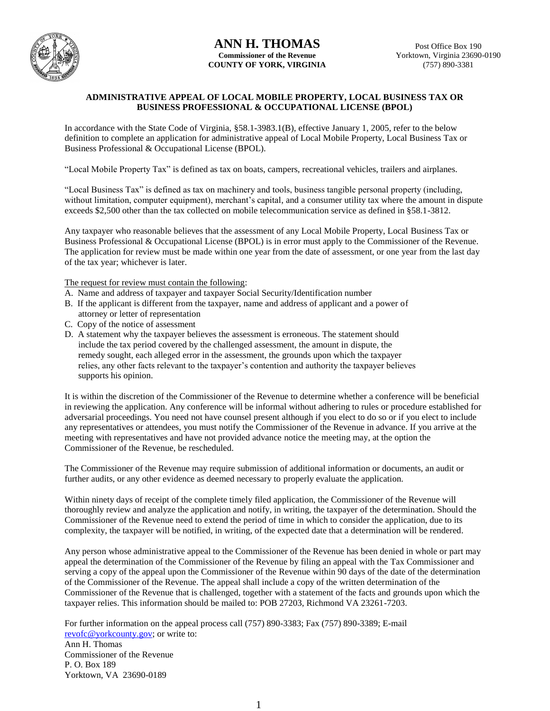

## **ANN H. THOMAS Commissioner of the Revenue COUNTY OF YORK, VIRGINIA**

#### **ADMINISTRATIVE APPEAL OF LOCAL MOBILE PROPERTY, LOCAL BUSINESS TAX OR BUSINESS PROFESSIONAL & OCCUPATIONAL LICENSE (BPOL)**

In accordance with the State Code of Virginia, §58.1-3983.1(B), effective January 1, 2005, refer to the below definition to complete an application for administrative appeal of Local Mobile Property, Local Business Tax or Business Professional & Occupational License (BPOL).

"Local Mobile Property Tax" is defined as tax on boats, campers, recreational vehicles, trailers and airplanes.

"Local Business Tax" is defined as tax on machinery and tools, business tangible personal property (including, without limitation, computer equipment), merchant's capital, and a consumer utility tax where the amount in dispute exceeds \$2,500 other than the tax collected on mobile telecommunication service as defined in §58.1-3812.

Any taxpayer who reasonable believes that the assessment of any Local Mobile Property, Local Business Tax or Business Professional & Occupational License (BPOL) is in error must apply to the Commissioner of the Revenue. The application for review must be made within one year from the date of assessment, or one year from the last day of the tax year; whichever is later.

The request for review must contain the following:

- A. Name and address of taxpayer and taxpayer Social Security/Identification number
- B. If the applicant is different from the taxpayer, name and address of applicant and a power of attorney or letter of representation
- C. Copy of the notice of assessment
- D. A statement why the taxpayer believes the assessment is erroneous. The statement should include the tax period covered by the challenged assessment, the amount in dispute, the remedy sought, each alleged error in the assessment, the grounds upon which the taxpayer relies, any other facts relevant to the taxpayer's contention and authority the taxpayer believes supports his opinion.

It is within the discretion of the Commissioner of the Revenue to determine whether a conference will be beneficial in reviewing the application. Any conference will be informal without adhering to rules or procedure established for adversarial proceedings. You need not have counsel present although if you elect to do so or if you elect to include any representatives or attendees, you must notify the Commissioner of the Revenue in advance. If you arrive at the meeting with representatives and have not provided advance notice the meeting may, at the option the Commissioner of the Revenue, be rescheduled.

The Commissioner of the Revenue may require submission of additional information or documents, an audit or further audits, or any other evidence as deemed necessary to properly evaluate the application.

Within ninety days of receipt of the complete timely filed application, the Commissioner of the Revenue will thoroughly review and analyze the application and notify, in writing, the taxpayer of the determination. Should the Commissioner of the Revenue need to extend the period of time in which to consider the application, due to its complexity, the taxpayer will be notified, in writing, of the expected date that a determination will be rendered.

Any person whose administrative appeal to the Commissioner of the Revenue has been denied in whole or part may appeal the determination of the Commissioner of the Revenue by filing an appeal with the Tax Commissioner and serving a copy of the appeal upon the Commissioner of the Revenue within 90 days of the date of the determination of the Commissioner of the Revenue. The appeal shall include a copy of the written determination of the Commissioner of the Revenue that is challenged, together with a statement of the facts and grounds upon which the taxpayer relies. This information should be mailed to: POB 27203, Richmond VA 23261-7203.

For further information on the appeal process call (757) 890-3383; Fax (757) 890-3389; E-mail [revofc@yorkcounty.gov;](mailto:revofc@yorkcounty.gov) or write to: Ann H. Thomas Commissioner of the Revenue P. O. Box 189 Yorktown, VA 23690-0189